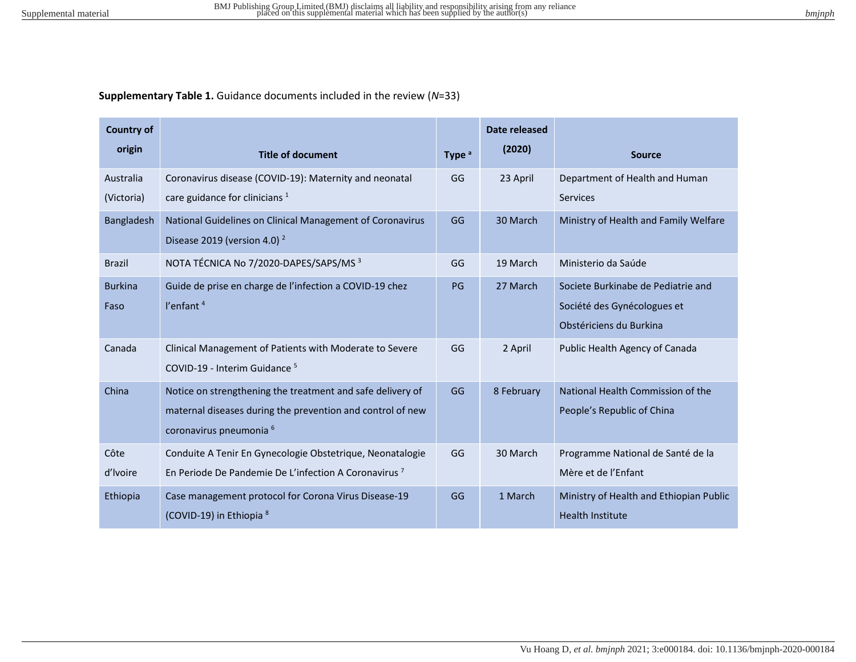## **Supplementary Table 1.** Guidance documents included in the review (*N*=33)

| <b>Country of</b> |                                                                  |                   | Date released |                                         |
|-------------------|------------------------------------------------------------------|-------------------|---------------|-----------------------------------------|
| origin            | <b>Title of document</b>                                         | Type <sup>a</sup> | (2020)        | <b>Source</b>                           |
| Australia         | Coronavirus disease (COVID-19): Maternity and neonatal           | GG                | 23 April      | Department of Health and Human          |
| (Victoria)        | care guidance for clinicians $1$                                 |                   |               | <b>Services</b>                         |
| Bangladesh        | National Guidelines on Clinical Management of Coronavirus        | GG                | 30 March      | Ministry of Health and Family Welfare   |
|                   | Disease 2019 (version 4.0) $^2$                                  |                   |               |                                         |
| <b>Brazil</b>     | NOTA TÉCNICA No 7/2020-DAPES/SAPS/MS 3                           | GG                | 19 March      | Ministerio da Saúde                     |
| <b>Burkina</b>    | Guide de prise en charge de l'infection a COVID-19 chez          | PG                | 27 March      | Societe Burkinabe de Pediatrie and      |
| Faso              | l'enfant <sup>4</sup>                                            |                   |               | Société des Gynécologues et             |
|                   |                                                                  |                   |               | Obstériciens du Burkina                 |
| Canada            | Clinical Management of Patients with Moderate to Severe          | GG                | 2 April       | Public Health Agency of Canada          |
|                   | COVID-19 - Interim Guidance <sup>5</sup>                         |                   |               |                                         |
| China             | Notice on strengthening the treatment and safe delivery of       | GG                | 8 February    | National Health Commission of the       |
|                   | maternal diseases during the prevention and control of new       |                   |               | People's Republic of China              |
|                   | coronavirus pneumonia 6                                          |                   |               |                                         |
| Côte              | Conduite A Tenir En Gynecologie Obstetrique, Neonatalogie        | GG                | 30 March      | Programme National de Santé de la       |
| d'Ivoire          | En Periode De Pandemie De L'infection A Coronavirus <sup>7</sup> |                   |               | Mère et de l'Enfant                     |
| Ethiopia          | Case management protocol for Corona Virus Disease-19             | GG                | 1 March       | Ministry of Health and Ethiopian Public |
|                   | (COVID-19) in Ethiopia <sup>8</sup>                              |                   |               | <b>Health Institute</b>                 |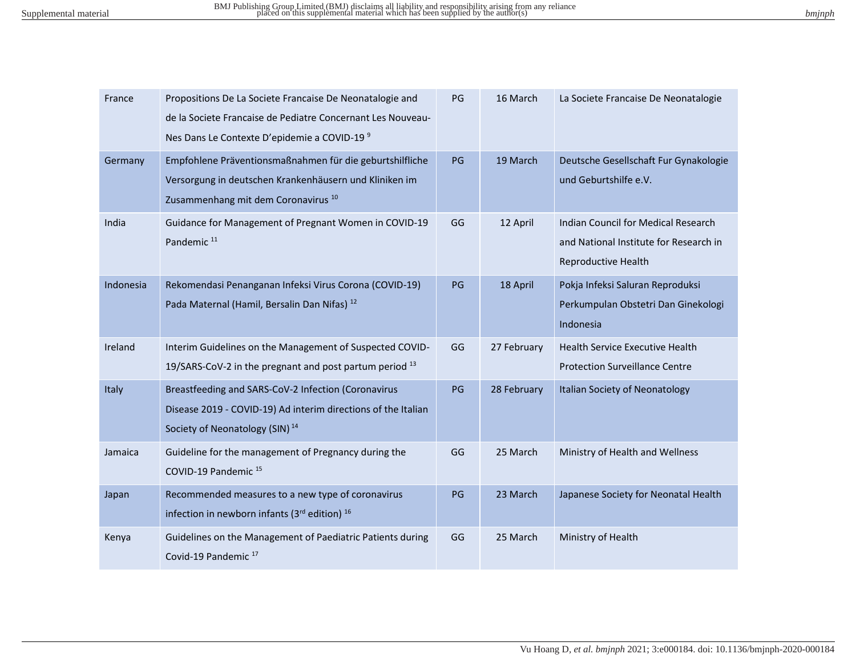| bm <sub>Inpn</sub> |  |
|--------------------|--|
|                    |  |

| France    | Propositions De La Societe Francaise De Neonatalogie and<br>de la Societe Française de Pediatre Concernant Les Nouveau-<br>Nes Dans Le Contexte D'epidemie a COVID-19 <sup>9</sup> | PG | 16 March    | La Societe Francaise De Neonatalogie                                                                 |
|-----------|------------------------------------------------------------------------------------------------------------------------------------------------------------------------------------|----|-------------|------------------------------------------------------------------------------------------------------|
| Germany   | Empfohlene Präventionsmaßnahmen für die geburtshilfliche<br>Versorgung in deutschen Krankenhäusern und Kliniken im<br>Zusammenhang mit dem Coronavirus <sup>10</sup>               | PG | 19 March    | Deutsche Gesellschaft Fur Gynakologie<br>und Geburtshilfe e.V.                                       |
| India     | Guidance for Management of Pregnant Women in COVID-19<br>Pandemic <sup>11</sup>                                                                                                    | GG | 12 April    | Indian Council for Medical Research<br>and National Institute for Research in<br>Reproductive Health |
| Indonesia | Rekomendasi Penanganan Infeksi Virus Corona (COVID-19)<br>Pada Maternal (Hamil, Bersalin Dan Nifas) <sup>12</sup>                                                                  | PG | 18 April    | Pokja Infeksi Saluran Reproduksi<br>Perkumpulan Obstetri Dan Ginekologi<br>Indonesia                 |
| Ireland   | Interim Guidelines on the Management of Suspected COVID-<br>19/SARS-CoV-2 in the pregnant and post partum period 13                                                                | GG | 27 February | <b>Health Service Executive Health</b><br><b>Protection Surveillance Centre</b>                      |
| Italy     | Breastfeeding and SARS-CoV-2 Infection (Coronavirus<br>Disease 2019 - COVID-19) Ad interim directions of the Italian<br>Society of Neonatology (SIN) <sup>14</sup>                 | PG | 28 February | Italian Society of Neonatology                                                                       |
| Jamaica   | Guideline for the management of Pregnancy during the<br>COVID-19 Pandemic <sup>15</sup>                                                                                            | GG | 25 March    | Ministry of Health and Wellness                                                                      |
| Japan     | Recommended measures to a new type of coronavirus<br>infection in newborn infants (3rd edition) <sup>16</sup>                                                                      | PG | 23 March    | Japanese Society for Neonatal Health                                                                 |
| Kenya     | Guidelines on the Management of Paediatric Patients during<br>Covid-19 Pandemic <sup>17</sup>                                                                                      | GG | 25 March    | Ministry of Health                                                                                   |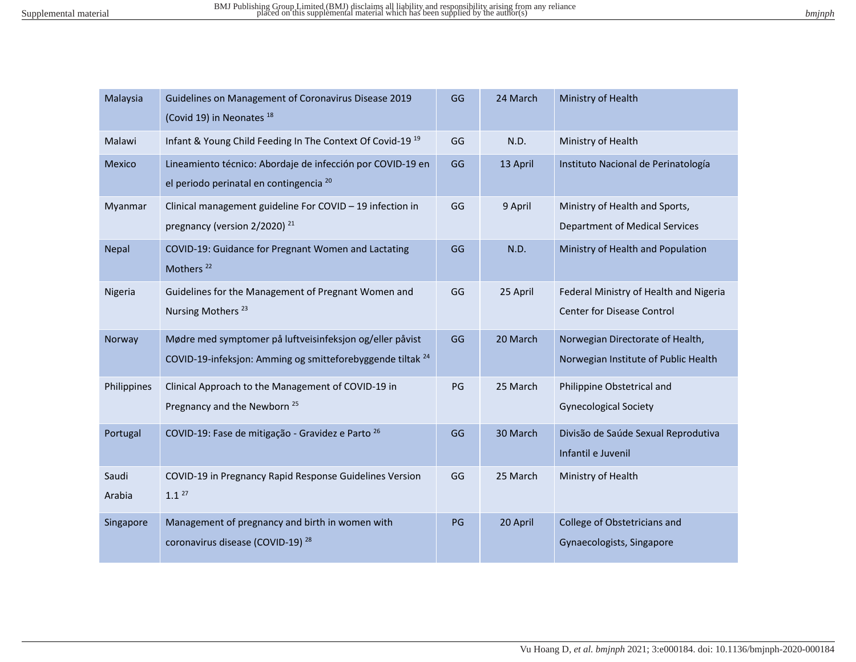| bmjnph |
|--------|
|        |
|        |

| Malaysia        | Guidelines on Management of Coronavirus Disease 2019<br>(Covid 19) in Neonates <sup>18</sup>                                      | GG | 24 March | Ministry of Health                                                       |
|-----------------|-----------------------------------------------------------------------------------------------------------------------------------|----|----------|--------------------------------------------------------------------------|
| Malawi          | Infant & Young Child Feeding In The Context Of Covid-19 <sup>19</sup>                                                             | GG | N.D.     | Ministry of Health                                                       |
| Mexico          | Lineamiento técnico: Abordaje de infección por COVID-19 en<br>el periodo perinatal en contingencia <sup>20</sup>                  | GG | 13 April | Instituto Nacional de Perinatología                                      |
| Myanmar         | Clinical management guideline For COVID - 19 infection in<br>pregnancy (version 2/2020) <sup>21</sup>                             | GG | 9 April  | Ministry of Health and Sports,<br><b>Department of Medical Services</b>  |
| Nepal           | COVID-19: Guidance for Pregnant Women and Lactating<br>Mothers <sup>22</sup>                                                      | GG | N.D.     | Ministry of Health and Population                                        |
| Nigeria         | Guidelines for the Management of Pregnant Women and<br>Nursing Mothers <sup>23</sup>                                              | GG | 25 April | Federal Ministry of Health and Nigeria<br>Center for Disease Control     |
| Norway          | Mødre med symptomer på luftveisinfeksjon og/eller påvist<br>COVID-19-infeksjon: Amming og smitteforebyggende tiltak <sup>24</sup> | GG | 20 March | Norwegian Directorate of Health,<br>Norwegian Institute of Public Health |
| Philippines     | Clinical Approach to the Management of COVID-19 in<br>Pregnancy and the Newborn <sup>25</sup>                                     | PG | 25 March | Philippine Obstetrical and<br><b>Gynecological Society</b>               |
| Portugal        | COVID-19: Fase de mitigação - Gravidez e Parto 26                                                                                 | GG | 30 March | Divisão de Saúde Sexual Reprodutiva<br>Infantil e Juvenil                |
| Saudi<br>Arabia | COVID-19 in Pregnancy Rapid Response Guidelines Version<br>$1.1^{27}$                                                             | GG | 25 March | Ministry of Health                                                       |
| Singapore       | Management of pregnancy and birth in women with<br>coronavirus disease (COVID-19) <sup>28</sup>                                   | PG | 20 April | College of Obstetricians and<br>Gynaecologists, Singapore                |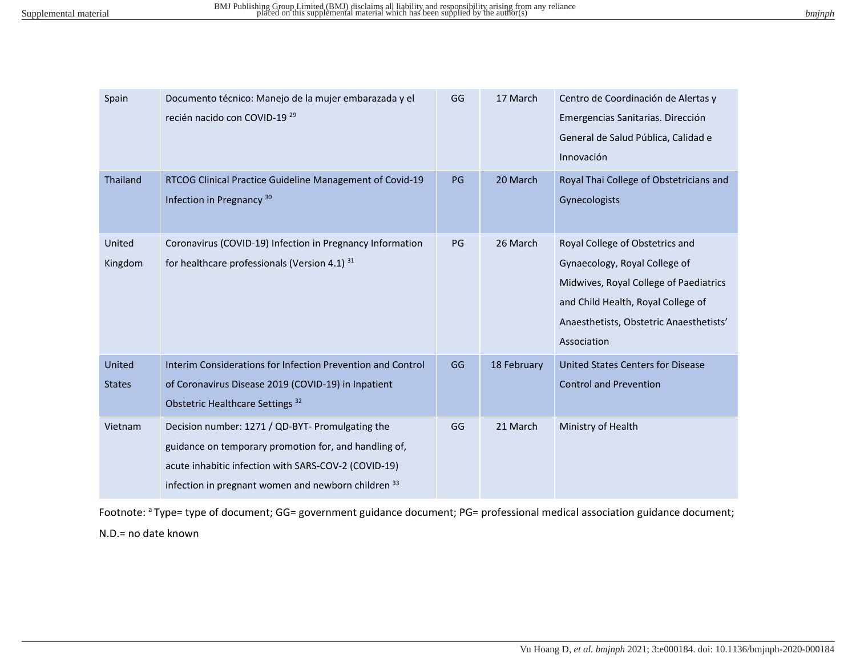| pmmpn |  |
|-------|--|
|       |  |

| Spain             | Documento técnico: Manejo de la mujer embarazada y el<br>recién nacido con COVID-19 <sup>29</sup>                                                                                                                                   | GG | 17 March    | Centro de Coordinación de Alertas y<br>Emergencias Sanitarias. Dirección<br>General de Salud Pública, Calidad e<br>Innovación                                                                              |
|-------------------|-------------------------------------------------------------------------------------------------------------------------------------------------------------------------------------------------------------------------------------|----|-------------|------------------------------------------------------------------------------------------------------------------------------------------------------------------------------------------------------------|
| Thailand          | RTCOG Clinical Practice Guideline Management of Covid-19<br>Infection in Pregnancy <sup>30</sup>                                                                                                                                    | PG | 20 March    | Royal Thai College of Obstetricians and<br>Gynecologists                                                                                                                                                   |
| United<br>Kingdom | Coronavirus (COVID-19) Infection in Pregnancy Information<br>for healthcare professionals (Version 4.1) 31                                                                                                                          | PG | 26 March    | Royal College of Obstetrics and<br>Gynaecology, Royal College of<br>Midwives, Royal College of Paediatrics<br>and Child Health, Royal College of<br>Anaesthetists, Obstetric Anaesthetists'<br>Association |
| United            | Interim Considerations for Infection Prevention and Control                                                                                                                                                                         | GG | 18 February | <b>United States Centers for Disease</b>                                                                                                                                                                   |
| <b>States</b>     | of Coronavirus Disease 2019 (COVID-19) in Inpatient<br>Obstetric Healthcare Settings <sup>32</sup>                                                                                                                                  |    |             | <b>Control and Prevention</b>                                                                                                                                                                              |
| Vietnam           | Decision number: 1271 / QD-BYT- Promulgating the<br>guidance on temporary promotion for, and handling of,<br>acute inhabitic infection with SARS-COV-2 (COVID-19)<br>infection in pregnant women and newborn children <sup>33</sup> | GG | 21 March    | Ministry of Health                                                                                                                                                                                         |

Footnote: <sup>a</sup>Type= type of document; GG= government guidance document; PG= professional medical association guidance document; N.D.= no date known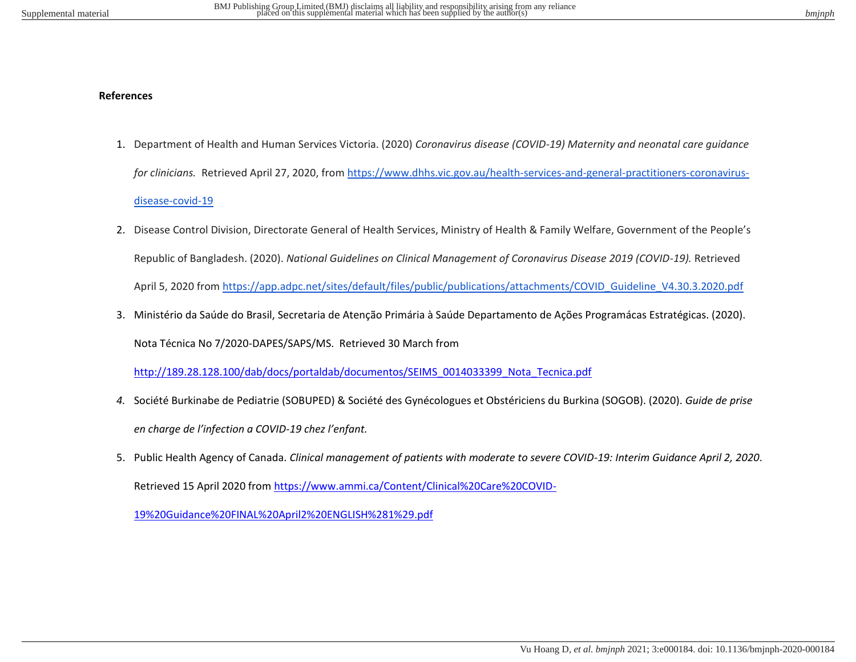## **References**

- 1. Department of Health and Human Services Victoria. (2020) *Coronavirus disease (COVID-19) Maternity and neonatal care guidance for clinicians.* Retrieved April 27, 2020, from [https://www.dhhs.vic.gov.au/health-services-and-general-practitioners-coronavirus](https://www.dhhs.vic.gov.au/health-services-and-general-practitioners-coronavirus-disease-covid-19)[disease-covid-19](https://www.dhhs.vic.gov.au/health-services-and-general-practitioners-coronavirus-disease-covid-19)
- 2. Disease Control Division, Directorate General of Health Services, Ministry of Health & Family Welfare, Government of the People's Republic of Bangladesh. (2020). *National Guidelines on Clinical Management of Coronavirus Disease 2019 (COVID-19).* Retrieved April 5, 2020 from [https://app.adpc.net/sites/default/files/public/publications/attachments/COVID\\_Guideline\\_V4.30.3.2020.pdf](https://app.adpc.net/sites/default/files/public/publications/attachments/COVID_Guideline_V4.30.3.2020.pdf)
- 3. Ministério da Saúde do Brasil, Secretaria de Atenção Primária à Saúde Departamento de Ações Programácas Estratégicas. (2020). Nota Técnica No 7/2020-DAPES/SAPS/MS. Retrieved 30 March from

[http://189.28.128.100/dab/docs/portaldab/documentos/SEIMS\\_0014033399\\_Nota\\_Tecnica.pdf](http://189.28.128.100/dab/docs/portaldab/documentos/SEIMS_0014033399_Nota_Tecnica.pdf)

- *4.* Société Burkinabe de Pediatrie (SOBUPED) & Société des Gynécologues et Obstériciens du Burkina (SOGOB). (2020). *Guide de prise en charge de l'infection a COVID-19 chez l'enfant.*
- 5. Public Health Agency of Canada. *Clinical management of patients with moderate to severe COVID-19: Interim Guidance April 2, 2020*. Retrieved 15 April 2020 fro[m https://www.ammi.ca/Content/Clinical%20Care%20COVID-](https://www.ammi.ca/Content/Clinical%20Care%20COVID-19%20Guidance%20FINAL%20April2%20ENGLISH%281%29.pdf)

[19%20Guidance%20FINAL%20April2%20ENGLISH%281%29.pdf](https://www.ammi.ca/Content/Clinical%20Care%20COVID-19%20Guidance%20FINAL%20April2%20ENGLISH%281%29.pdf)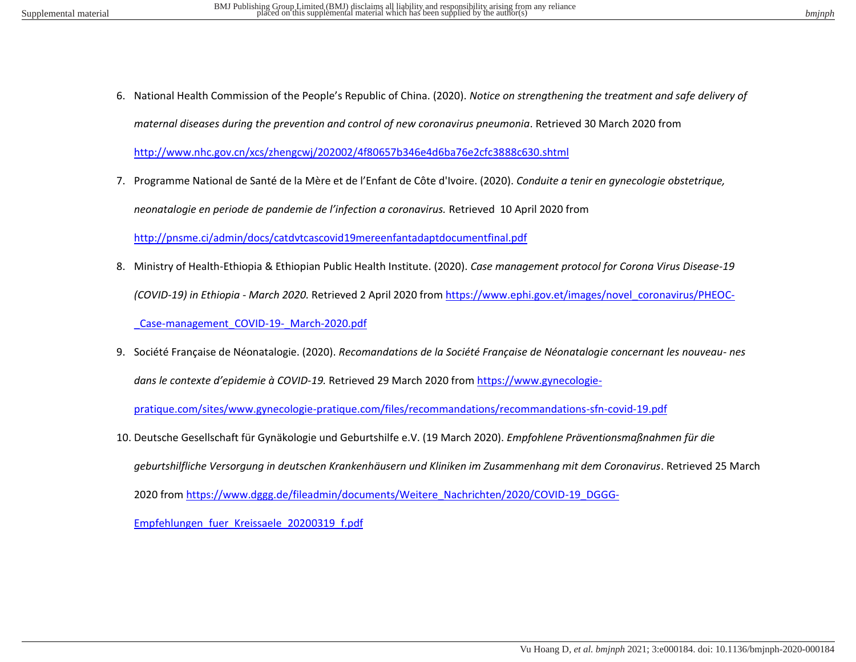6. National Health Commission of the People's Republic of China. (2020). *Notice on strengthening the treatment and safe delivery of maternal diseases during the prevention and control of new coronavirus pneumonia*. Retrieved 30 March 2020 from

<http://www.nhc.gov.cn/xcs/zhengcwj/202002/4f80657b346e4d6ba76e2cfc3888c630.shtml>

7. Programme National de Santé de la Mère et de l'Enfant de Côte d'Ivoire. (2020). *Conduite a tenir en gynecologie obstetrique,* 

*neonatalogie en periode de pandemie de l'infection a coronavirus.* Retrieved 10 April 2020 from

<http://pnsme.ci/admin/docs/catdvtcascovid19mereenfantadaptdocumentfinal.pdf>

- 8. Ministry of Health-Ethiopia & Ethiopian Public Health Institute. (2020). *Case management protocol for Corona Virus Disease-19 (COVID-19) in Ethiopia - March 2020.* Retrieved 2 April 2020 from [https://www.ephi.gov.et/images/novel\\_coronavirus/PHEOC-](https://www.ephi.gov.et/images/novel_coronavirus/PHEOC-_Case-management_COVID-19-_March-2020.pdf) [\\_Case-management\\_COVID-19-\\_March-2020.pdf](https://www.ephi.gov.et/images/novel_coronavirus/PHEOC-_Case-management_COVID-19-_March-2020.pdf)
- 9. Société Française de Néonatalogie. (2020). *Recomandations de la Société Française de Néonatalogie concernant les nouveau- nes dans le contexte d'epidemie à COVID-19.* Retrieved 29 March 2020 from [https://www.gynecologie-](https://www.gynecologie-pratique.com/sites/www.gynecologie-pratique.com/files/recommandations/recommandations-sfn-covid-19.pdf)

[pratique.com/sites/www.gynecologie-pratique.com/files/recommandations/recommandations-sfn-covid-19.pdf](https://www.gynecologie-pratique.com/sites/www.gynecologie-pratique.com/files/recommandations/recommandations-sfn-covid-19.pdf) 

10. Deutsche Gesellschaft für Gynäkologie und Geburtshilfe e.V. (19 March 2020). *Empfohlene Präventionsmaßnahmen für die geburtshilfliche Versorgung in deutschen Krankenhäusern und Kliniken im Zusammenhang mit dem Coronavirus*. Retrieved 25 March 2020 from [https://www.dggg.de/fileadmin/documents/Weitere\\_Nachrichten/2020/COVID-19\\_DGGG-](https://www.dggg.de/fileadmin/documents/Weitere_Nachrichten/2020/COVID-19_DGGG-Empfehlungen_fuer_Kreissaele_20200319_f.pdf)[Empfehlungen\\_fuer\\_Kreissaele\\_20200319\\_f.pdf](https://www.dggg.de/fileadmin/documents/Weitere_Nachrichten/2020/COVID-19_DGGG-Empfehlungen_fuer_Kreissaele_20200319_f.pdf)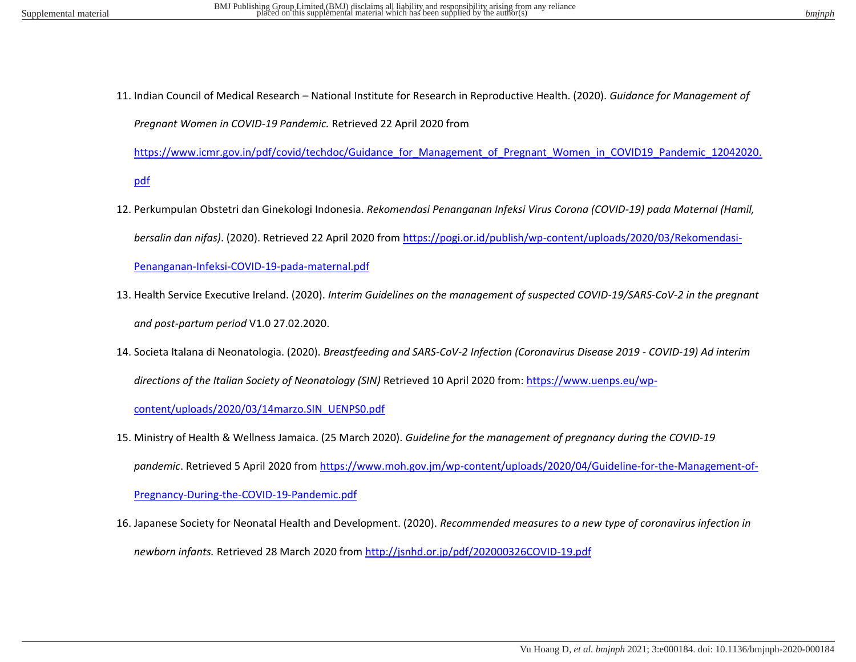11. Indian Council of Medical Research – National Institute for Research in Reproductive Health. (2020). *Guidance for Management of Pregnant Women in COVID-19 Pandemic.* Retrieved 22 April 2020 from

[https://www.icmr.gov.in/pdf/covid/techdoc/Guidance\\_for\\_Management\\_of\\_Pregnant\\_Women\\_in\\_COVID19\\_Pandemic\\_12042020.](https://www.icmr.gov.in/pdf/covid/techdoc/Guidance_for_Management_of_Pregnant_Women_in_COVID19_Pandemic_12042020.pdf)

[pdf](https://www.icmr.gov.in/pdf/covid/techdoc/Guidance_for_Management_of_Pregnant_Women_in_COVID19_Pandemic_12042020.pdf)

- 12. Perkumpulan Obstetri dan Ginekologi Indonesia. *Rekomendasi Penanganan Infeksi Virus Corona (COVID-19) pada Maternal (Hamil, bersalin dan nifas)*. (2020). Retrieved 22 April 2020 from [https://pogi.or.id/publish/wp-content/uploads/2020/03/Rekomendasi-](https://pogi.or.id/publish/wp-content/uploads/2020/03/Rekomendasi-Penanganan-Infeksi-COVID-19-pada-maternal.pdf)[Penanganan-Infeksi-COVID-19-pada-maternal.pdf](https://pogi.or.id/publish/wp-content/uploads/2020/03/Rekomendasi-Penanganan-Infeksi-COVID-19-pada-maternal.pdf)
- 13. Health Service Executive Ireland. (2020). *Interim Guidelines on the management of suspected COVID-19/SARS-CoV-2 in the pregnant and post-partum period* V1.0 27.02.2020.
- 14. Societa Italana di Neonatologia. (2020). *Breastfeeding and SARS-CoV-2 Infection (Coronavirus Disease 2019 COVID-19) Ad interim directions of the Italian Society of Neonatology (SIN)* Retrieved 10 April 2020 from: [https://www.uenps.eu/wp](https://www.uenps.eu/wp-content/uploads/2020/03/14marzo.SIN_UENPS0.pdf)[content/uploads/2020/03/14marzo.SIN\\_UENPS0.pdf](https://www.uenps.eu/wp-content/uploads/2020/03/14marzo.SIN_UENPS0.pdf)
- 15. Ministry of Health & Wellness Jamaica. (25 March 2020). *Guideline for the management of pregnancy during the COVID-19 pandemic*. Retrieved 5 April 2020 from [https://www.moh.gov.jm/wp-content/uploads/2020/04/Guideline-for-the-Management-of-](https://www.moh.gov.jm/wp-content/uploads/2020/04/Guideline-for-the-Management-of-Pregnancy-During-the-COVID-19-Pandemic.pdf)[Pregnancy-During-the-COVID-19-Pandemic.pdf](https://www.moh.gov.jm/wp-content/uploads/2020/04/Guideline-for-the-Management-of-Pregnancy-During-the-COVID-19-Pandemic.pdf)
- 16. Japanese Society for Neonatal Health and Development. (2020). *Recommended measures to a new type of coronavirus infection in newborn infants.* Retrieved 28 March 2020 from<http://jsnhd.or.jp/pdf/202000326COVID-19.pdf>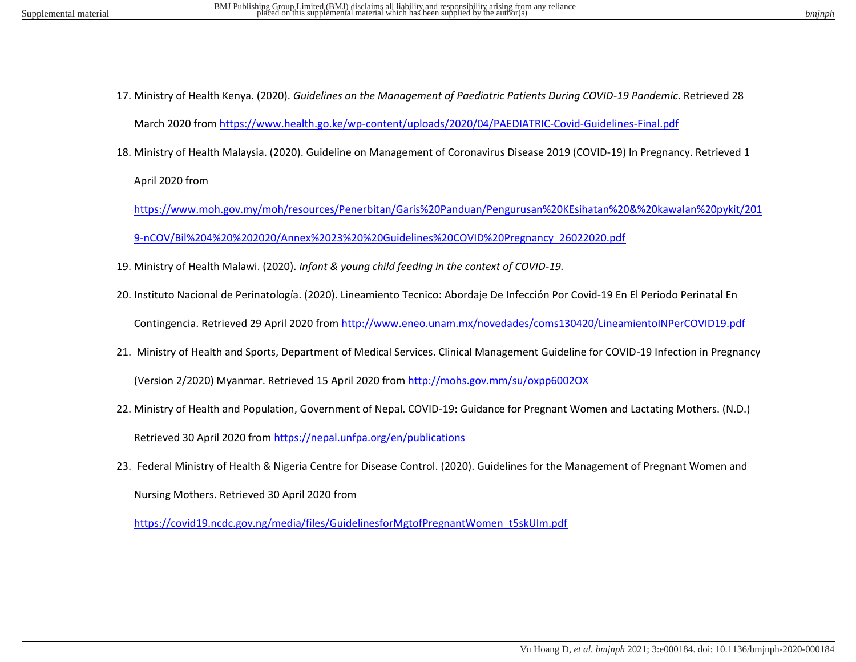- 17. Ministry of Health Kenya. (2020). *Guidelines on the Management of Paediatric Patients During COVID-19 Pandemic*. Retrieved 28 March 2020 from<https://www.health.go.ke/wp-content/uploads/2020/04/PAEDIATRIC-Covid-Guidelines-Final.pdf>
- 18. Ministry of Health Malaysia. (2020). Guideline on Management of Coronavirus Disease 2019 (COVID-19) In Pregnancy. Retrieved 1

April 2020 from

[https://www.moh.gov.my/moh/resources/Penerbitan/Garis%20Panduan/Pengurusan%20KEsihatan%20&%20kawalan%20pykit/201](https://www.moh.gov.my/moh/resources/Penerbitan/Garis%20Panduan/Pengurusan%20KEsihatan%20&%20kawalan%20pykit/2019-nCOV/Bil%204%20%202020/Annex%2023%20%20Guidelines%20COVID%20Pregnancy_26022020.pdf) [9-nCOV/Bil%204%20%202020/Annex%2023%20%20Guidelines%20COVID%20Pregnancy\\_26022020.pdf](https://www.moh.gov.my/moh/resources/Penerbitan/Garis%20Panduan/Pengurusan%20KEsihatan%20&%20kawalan%20pykit/2019-nCOV/Bil%204%20%202020/Annex%2023%20%20Guidelines%20COVID%20Pregnancy_26022020.pdf) 

- 19. Ministry of Health Malawi. (2020). *Infant & young child feeding in the context of COVID-19.*
- 20. Instituto Nacional de Perinatología. (2020). Lineamiento Tecnico: Abordaje De Infección Por Covid-19 En El Periodo Perinatal En Contingencia. Retrieved 29 April 2020 from<http://www.eneo.unam.mx/novedades/coms130420/LineamientoINPerCOVID19.pdf>
- 21. Ministry of Health and Sports, Department of Medical Services. Clinical Management Guideline for COVID-19 Infection in Pregnancy (Version 2/2020) Myanmar. Retrieved 15 April 2020 fro[m http://mohs.gov.mm/su/oxpp6002OX](http://mohs.gov.mm/su/oxpp6002OX)
- 22. Ministry of Health and Population, Government of Nepal. COVID-19: Guidance for Pregnant Women and Lactating Mothers. (N.D.) Retrieved 30 April 2020 fro[m https://nepal.unfpa.org/en/publications](https://nepal.unfpa.org/en/publications)
- 23. Federal Ministry of Health & Nigeria Centre for Disease Control. (2020). Guidelines for the Management of Pregnant Women and Nursing Mothers. Retrieved 30 April 2020 from

[https://covid19.ncdc.gov.ng/media/files/GuidelinesforMgtofPregnantWomen\\_t5skUIm.pdf](https://covid19.ncdc.gov.ng/media/files/GuidelinesforMgtofPregnantWomen_t5skUIm.pdf)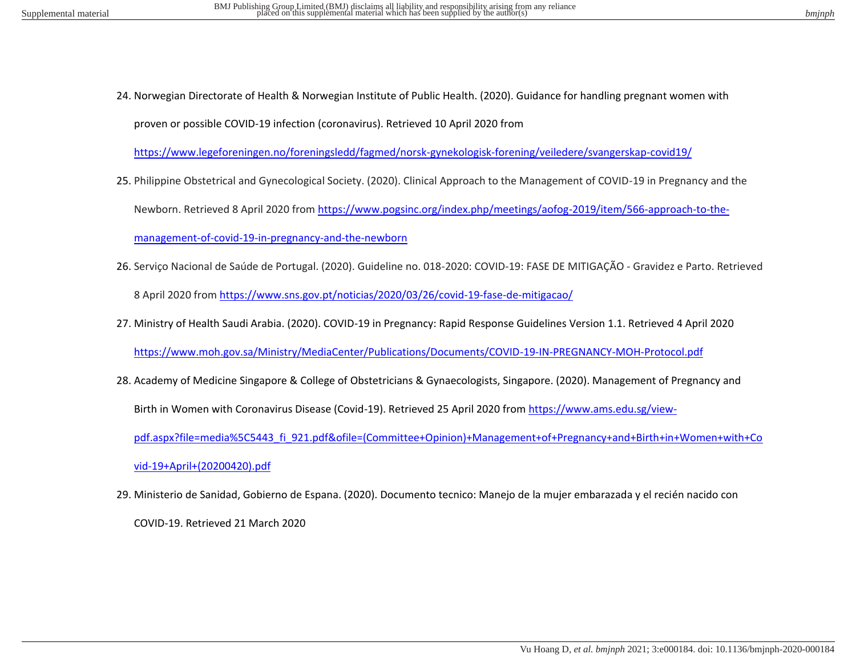24. Norwegian Directorate of Health & Norwegian Institute of Public Health. (2020). Guidance for handling pregnant women with proven or possible COVID-19 infection (coronavirus). Retrieved 10 April 2020 from

<https://www.legeforeningen.no/foreningsledd/fagmed/norsk-gynekologisk-forening/veiledere/svangerskap-covid19/>

25. Philippine Obstetrical and Gynecological Society. (2020). Clinical Approach to the Management of COVID-19 in Pregnancy and the

Newborn. Retrieved 8 April 2020 from [https://www.pogsinc.org/index.php/meetings/aofog-2019/item/566-approach-to-the-](https://www.pogsinc.org/index.php/meetings/aofog-2019/item/566-approach-to-the-management-of-covid-19-in-pregnancy-and-the-newborn)

[management-of-covid-19-in-pregnancy-and-the-newborn](https://www.pogsinc.org/index.php/meetings/aofog-2019/item/566-approach-to-the-management-of-covid-19-in-pregnancy-and-the-newborn)

26. Serviço Nacional de Saúde de Portugal. (2020). Guideline no. 018-2020: COVID-19: FASE DE MITIGAÇÃO - Gravidez e Parto. Retrieved

8 April 2020 from<https://www.sns.gov.pt/noticias/2020/03/26/covid-19-fase-de-mitigacao/>

- 27. Ministry of Health Saudi Arabia. (2020). COVID-19 in Pregnancy: Rapid Response Guidelines Version 1.1. Retrieved 4 April 2020 <https://www.moh.gov.sa/Ministry/MediaCenter/Publications/Documents/COVID-19-IN-PREGNANCY-MOH-Protocol.pdf>
- 28. Academy of Medicine Singapore & College of Obstetricians & Gynaecologists, Singapore. (2020). Management of Pregnancy and Birth in Women with Coronavirus Disease (Covid-19). Retrieved 25 April 2020 from [https://www.ams.edu.sg/view](https://www.ams.edu.sg/view-pdf.aspx?file=media%5C5443_fi_921.pdf&ofile=(Committee+Opinion)+Management+of+Pregnancy+and+Birth+in+Women+with+Covid-19+April+(20200420).pdf)[pdf.aspx?file=media%5C5443\\_fi\\_921.pdf&ofile=\(Committee+Opinion\)+Management+of+Pregnancy+and+Birth+in+Women+with+Co](https://www.ams.edu.sg/view-pdf.aspx?file=media%5C5443_fi_921.pdf&ofile=(Committee+Opinion)+Management+of+Pregnancy+and+Birth+in+Women+with+Covid-19+April+(20200420).pdf)

[vid-19+April+\(20200420\).pdf](https://www.ams.edu.sg/view-pdf.aspx?file=media%5C5443_fi_921.pdf&ofile=(Committee+Opinion)+Management+of+Pregnancy+and+Birth+in+Women+with+Covid-19+April+(20200420).pdf) 

29. Ministerio de Sanidad, Gobierno de Espana. (2020). Documento tecnico: Manejo de la mujer embarazada y el recién nacido con COVID-19. Retrieved 21 March 2020